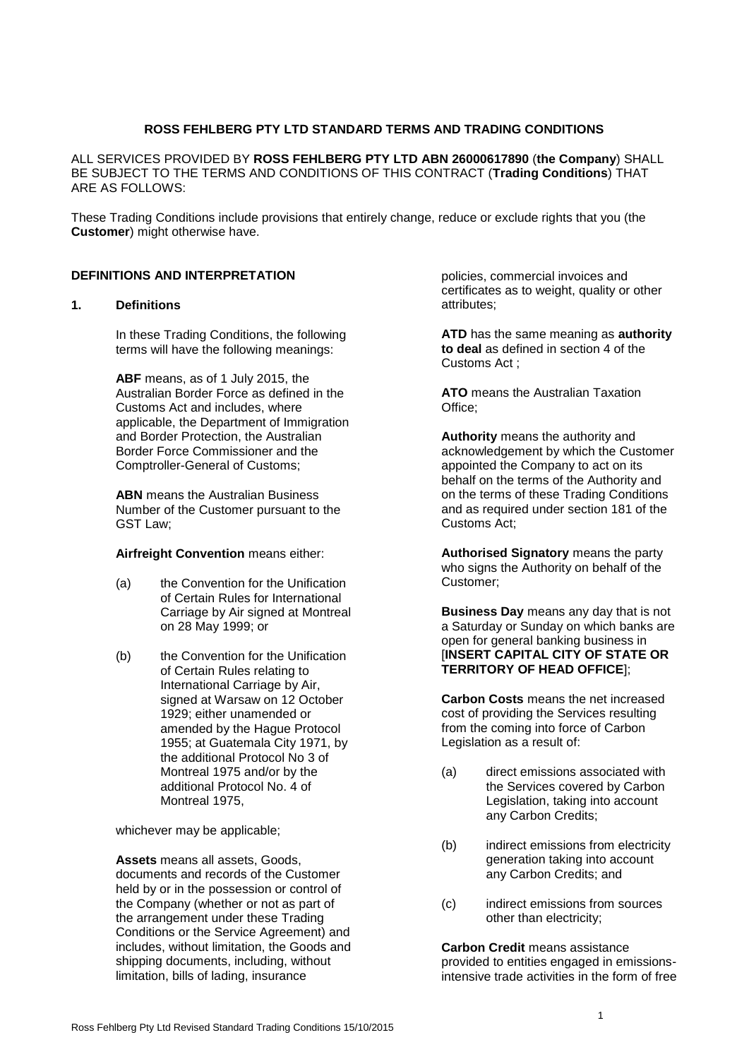## **ROSS FEHLBERG PTY LTD STANDARD TERMS AND TRADING CONDITIONS**

ALL SERVICES PROVIDED BY **ROSS FEHLBERG PTY LTD ABN 26000617890** (**the Company**) SHALL BE SUBJECT TO THE TERMS AND CONDITIONS OF THIS CONTRACT (**Trading Conditions**) THAT ARE AS FOLLOWS:

These Trading Conditions include provisions that entirely change, reduce or exclude rights that you (the **Customer**) might otherwise have.

## **DEFINITIONS AND INTERPRETATION**

### **1. Definitions**

In these Trading Conditions, the following terms will have the following meanings:

**ABF** means, as of 1 July 2015, the Australian Border Force as defined in the Customs Act and includes, where applicable, the Department of Immigration and Border Protection, the Australian Border Force Commissioner and the Comptroller-General of Customs;

**ABN** means the Australian Business Number of the Customer pursuant to the GST Law;

### **Airfreight Convention** means either:

- (a) the Convention for the Unification of Certain Rules for International Carriage by Air signed at Montreal on 28 May 1999; or
- (b) the Convention for the Unification of Certain Rules relating to International Carriage by Air, signed at Warsaw on 12 October 1929; either unamended or amended by the Hague Protocol 1955; at Guatemala City 1971, by the additional Protocol No 3 of Montreal 1975 and/or by the additional Protocol No. 4 of Montreal 1975,

whichever may be applicable;

**Assets** means all assets, Goods, documents and records of the Customer held by or in the possession or control of the Company (whether or not as part of the arrangement under these Trading Conditions or the Service Agreement) and includes, without limitation, the Goods and shipping documents, including, without limitation, bills of lading, insurance

policies, commercial invoices and certificates as to weight, quality or other attributes;

**ATD** has the same meaning as **authority to deal** as defined in section 4 of the Customs Act ;

**ATO** means the Australian Taxation Office;

**Authority** means the authority and acknowledgement by which the Customer appointed the Company to act on its behalf on the terms of the Authority and on the terms of these Trading Conditions and as required under section 181 of the Customs Act;

**Authorised Signatory** means the party who signs the Authority on behalf of the Customer;

**Business Day** means any day that is not a Saturday or Sunday on which banks are open for general banking business in [**INSERT CAPITAL CITY OF STATE OR TERRITORY OF HEAD OFFICE**];

**Carbon Costs** means the net increased cost of providing the Services resulting from the coming into force of Carbon Legislation as a result of:

- (a) direct emissions associated with the Services covered by Carbon Legislation, taking into account any Carbon Credits;
- (b) indirect emissions from electricity generation taking into account any Carbon Credits; and
- (c) indirect emissions from sources other than electricity;

**Carbon Credit** means assistance provided to entities engaged in emissionsintensive trade activities in the form of free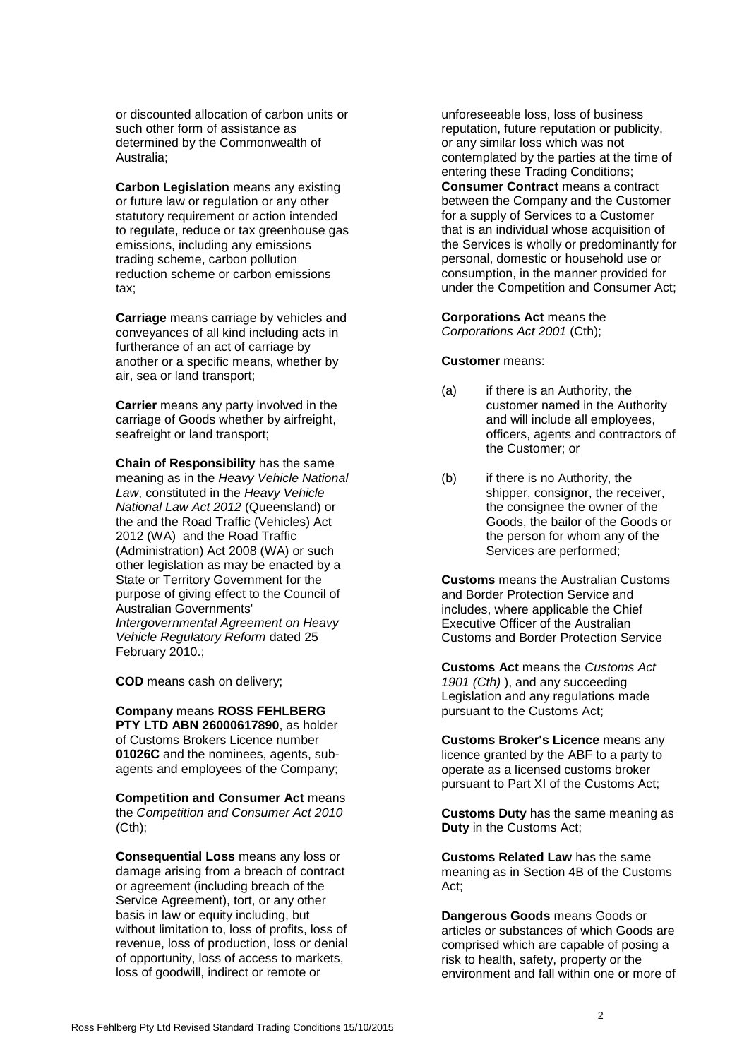or discounted allocation of carbon units or such other form of assistance as determined by the Commonwealth of Australia;

**Carbon Legislation** means any existing or future law or regulation or any other statutory requirement or action intended to regulate, reduce or tax greenhouse gas emissions, including any emissions trading scheme, carbon pollution reduction scheme or carbon emissions tax;

**Carriage** means carriage by vehicles and conveyances of all kind including acts in furtherance of an act of carriage by another or a specific means, whether by air, sea or land transport;

**Carrier** means any party involved in the carriage of Goods whether by airfreight, seafreight or land transport;

**Chain of Responsibility** has the same meaning as in the *Heavy Vehicle National Law*, constituted in the *Heavy Vehicle National Law Act 2012* (Queensland) or the and the Road Traffic (Vehicles) Act 2012 (WA) and the Road Traffic (Administration) Act 2008 (WA) or such other legislation as may be enacted by a State or Territory Government for the purpose of giving effect to the Council of Australian Governments' *Intergovernmental Agreement on Heavy Vehicle Regulatory Reform* dated 25 February 2010.;

**COD** means cash on delivery;

**Company** means **ROSS FEHLBERG PTY LTD ABN 26000617890**, as holder of Customs Brokers Licence number **01026C** and the nominees, agents, subagents and employees of the Company;

**Competition and Consumer Act** means the *Competition and Consumer Act 2010* (Cth);

**Consequential Loss** means any loss or damage arising from a breach of contract or agreement (including breach of the Service Agreement), tort, or any other basis in law or equity including, but without limitation to, loss of profits, loss of revenue, loss of production, loss or denial of opportunity, loss of access to markets, loss of goodwill, indirect or remote or

unforeseeable loss, loss of business reputation, future reputation or publicity, or any similar loss which was not contemplated by the parties at the time of entering these Trading Conditions; **Consumer Contract** means a contract between the Company and the Customer for a supply of Services to a Customer that is an individual whose acquisition of the Services is wholly or predominantly for personal, domestic or household use or consumption, in the manner provided for under the Competition and Consumer Act;

**Corporations Act** means the *Corporations Act 2001* (Cth);

### **Customer** means:

- (a) if there is an Authority, the customer named in the Authority and will include all employees, officers, agents and contractors of the Customer; or
- (b) if there is no Authority, the shipper, consignor, the receiver, the consignee the owner of the Goods, the bailor of the Goods or the person for whom any of the Services are performed;

**Customs** means the Australian Customs and Border Protection Service and includes, where applicable the Chief Executive Officer of the Australian Customs and Border Protection Service

**Customs Act** means the *Customs Act 1901 (Cth)* ), and any succeeding Legislation and any regulations made pursuant to the Customs Act;

**Customs Broker's Licence** means any licence granted by the ABF to a party to operate as a licensed customs broker pursuant to Part XI of the Customs Act;

**Customs Duty** has the same meaning as **Duty** in the Customs Act;

**Customs Related Law** has the same meaning as in Section 4B of the Customs Act;

**Dangerous Goods** means Goods or articles or substances of which Goods are comprised which are capable of posing a risk to health, safety, property or the environment and fall within one or more of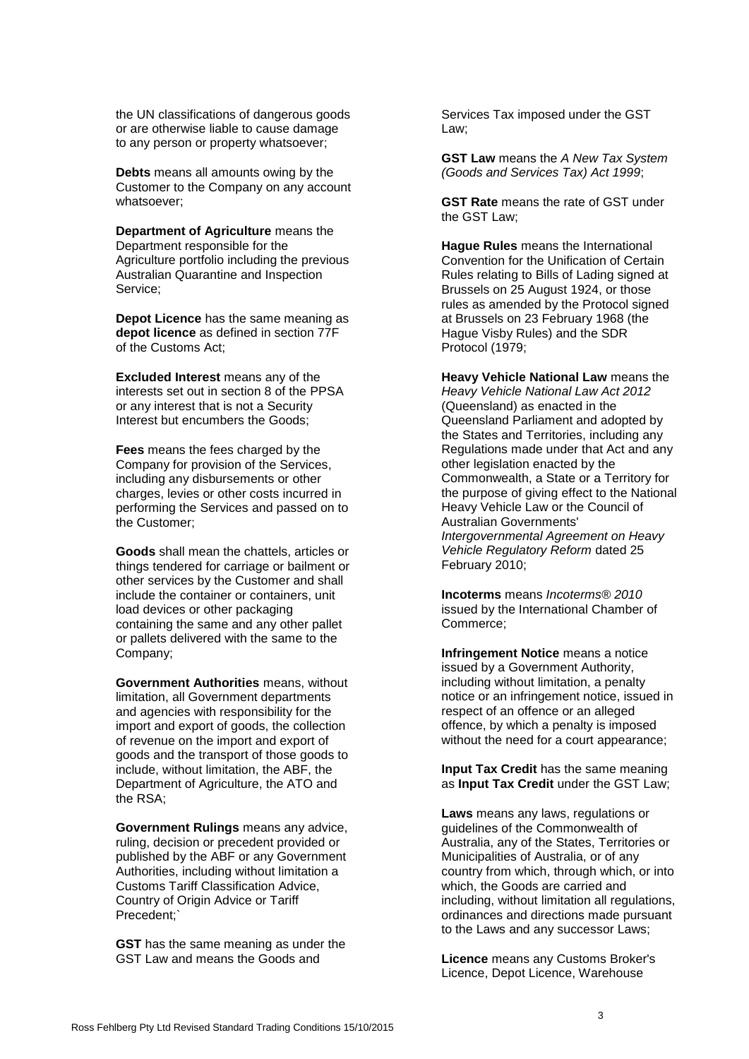the UN classifications of dangerous goods or are otherwise liable to cause damage to any person or property whatsoever;

**Debts** means all amounts owing by the Customer to the Company on any account whatsoever;

**Department of Agriculture** means the Department responsible for the Agriculture portfolio including the previous Australian Quarantine and Inspection Service;

**Depot Licence** has the same meaning as **depot licence** as defined in section 77F of the Customs Act;

**Excluded Interest** means any of the interests set out in section 8 of the PPSA or any interest that is not a Security Interest but encumbers the Goods;

**Fees** means the fees charged by the Company for provision of the Services, including any disbursements or other charges, levies or other costs incurred in performing the Services and passed on to the Customer;

**Goods** shall mean the chattels, articles or things tendered for carriage or bailment or other services by the Customer and shall include the container or containers, unit load devices or other packaging containing the same and any other pallet or pallets delivered with the same to the Company;

**Government Authorities** means, without limitation, all Government departments and agencies with responsibility for the import and export of goods, the collection of revenue on the import and export of goods and the transport of those goods to include, without limitation, the ABF, the Department of Agriculture, the ATO and the RSA;

**Government Rulings** means any advice, ruling, decision or precedent provided or published by the ABF or any Government Authorities, including without limitation a Customs Tariff Classification Advice, Country of Origin Advice or Tariff Precedent;`

**GST** has the same meaning as under the GST Law and means the Goods and

Services Tax imposed under the GST Law;

**GST Law** means the *A New Tax System (Goods and Services Tax) Act 1999*;

**GST Rate** means the rate of GST under the GST Law;

**Hague Rules** means the International Convention for the Unification of Certain Rules relating to Bills of Lading signed at Brussels on 25 August 1924, or those rules as amended by the Protocol signed at Brussels on 23 February 1968 (the Hague Visby Rules) and the SDR Protocol (1979;

**Heavy Vehicle National Law** means the *Heavy Vehicle National Law Act 2012* (Queensland) as enacted in the Queensland Parliament and adopted by the States and Territories, including any Regulations made under that Act and any other legislation enacted by the Commonwealth, a State or a Territory for the purpose of giving effect to the National Heavy Vehicle Law or the Council of Australian Governments' *Intergovernmental Agreement on Heavy Vehicle Regulatory Reform* dated 25 February 2010;

**Incoterms** means *Incoterms® 2010* issued by the International Chamber of Commerce;

**Infringement Notice** means a notice issued by a Government Authority, including without limitation, a penalty notice or an infringement notice, issued in respect of an offence or an alleged offence, by which a penalty is imposed without the need for a court appearance;

**Input Tax Credit** has the same meaning as **Input Tax Credit** under the GST Law;

**Laws** means any laws, regulations or guidelines of the Commonwealth of Australia, any of the States, Territories or Municipalities of Australia, or of any country from which, through which, or into which, the Goods are carried and including, without limitation all regulations, ordinances and directions made pursuant to the Laws and any successor Laws;

**Licence** means any Customs Broker's Licence, Depot Licence, Warehouse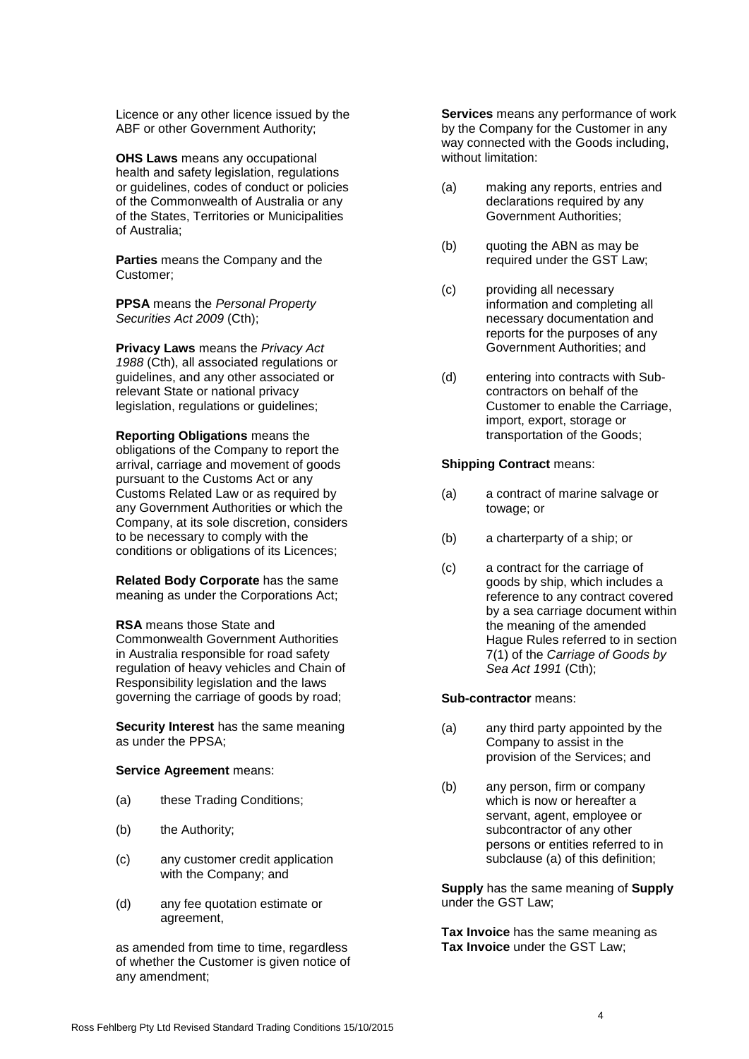Licence or any other licence issued by the ABF or other Government Authority;

**OHS Laws** means any occupational health and safety legislation, regulations or guidelines, codes of conduct or policies of the Commonwealth of Australia or any of the States, Territories or Municipalities of Australia;

**Parties** means the Company and the Customer;

**PPSA** means the *Personal Property Securities Act 2009* (Cth);

**Privacy Laws** means the *Privacy Act 1988* (Cth), all associated regulations or guidelines, and any other associated or relevant State or national privacy legislation, regulations or guidelines;

**Reporting Obligations** means the obligations of the Company to report the arrival, carriage and movement of goods pursuant to the Customs Act or any Customs Related Law or as required by any Government Authorities or which the Company, at its sole discretion, considers to be necessary to comply with the conditions or obligations of its Licences;

**Related Body Corporate** has the same meaning as under the Corporations Act;

**RSA** means those State and Commonwealth Government Authorities in Australia responsible for road safety regulation of heavy vehicles and Chain of Responsibility legislation and the laws governing the carriage of goods by road;

**Security Interest** has the same meaning as under the PPSA;

### **Service Agreement** means:

- (a) these Trading Conditions;
- (b) the Authority;
- (c) any customer credit application with the Company; and
- (d) any fee quotation estimate or agreement,

as amended from time to time, regardless of whether the Customer is given notice of any amendment;

**Services** means any performance of work by the Company for the Customer in any way connected with the Goods including, without limitation:

- (a) making any reports, entries and declarations required by any Government Authorities;
- (b) quoting the ABN as may be required under the GST Law;
- (c) providing all necessary information and completing all necessary documentation and reports for the purposes of any Government Authorities; and
- (d) entering into contracts with Subcontractors on behalf of the Customer to enable the Carriage, import, export, storage or transportation of the Goods;

## **Shipping Contract** means:

- (a) a contract of marine salvage or towage; or
- (b) a charterparty of a ship; or
- (c) a contract for the carriage of goods by ship, which includes a reference to any contract covered by a sea carriage document within the meaning of the amended Hague Rules referred to in section 7(1) of the *Carriage of Goods by Sea Act 1991* (Cth);

### **Sub-contractor** means:

- (a) any third party appointed by the Company to assist in the provision of the Services; and
- (b) any person, firm or company which is now or hereafter a servant, agent, employee or subcontractor of any other persons or entities referred to in subclause (a) of this definition;

**Supply** has the same meaning of **Supply** under the GST Law;

**Tax Invoice** has the same meaning as **Tax Invoice** under the GST Law;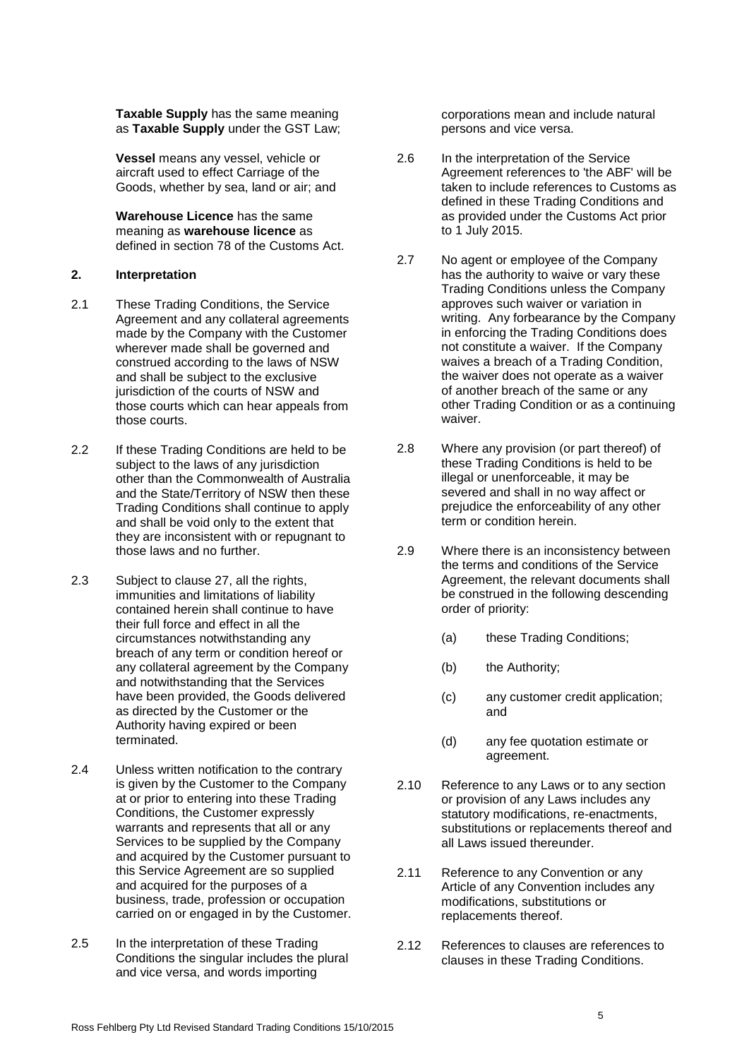**Taxable Supply** has the same meaning as **Taxable Supply** under the GST Law;

**Vessel** means any vessel, vehicle or aircraft used to effect Carriage of the Goods, whether by sea, land or air; and

**Warehouse Licence** has the same meaning as **warehouse licence** as defined in section 78 of the Customs Act.

# **2. Interpretation**

- 2.1 These Trading Conditions, the Service Agreement and any collateral agreements made by the Company with the Customer wherever made shall be governed and construed according to the laws of NSW and shall be subject to the exclusive jurisdiction of the courts of NSW and those courts which can hear appeals from those courts.
- 2.2 If these Trading Conditions are held to be subject to the laws of any jurisdiction other than the Commonwealth of Australia and the State/Territory of NSW then these Trading Conditions shall continue to apply and shall be void only to the extent that they are inconsistent with or repugnant to those laws and no further.
- 2.3 Subject to clause [27,](#page-19-0) all the rights, immunities and limitations of liability contained herein shall continue to have their full force and effect in all the circumstances notwithstanding any breach of any term or condition hereof or any collateral agreement by the Company and notwithstanding that the Services have been provided, the Goods delivered as directed by the Customer or the Authority having expired or been terminated.
- 2.4 Unless written notification to the contrary is given by the Customer to the Company at or prior to entering into these Trading Conditions, the Customer expressly warrants and represents that all or any Services to be supplied by the Company and acquired by the Customer pursuant to this Service Agreement are so supplied and acquired for the purposes of a business, trade, profession or occupation carried on or engaged in by the Customer.
- 2.5 In the interpretation of these Trading Conditions the singular includes the plural and vice versa, and words importing

corporations mean and include natural persons and vice versa.

- 2.6 In the interpretation of the Service Agreement references to 'the ABF' will be taken to include references to Customs as defined in these Trading Conditions and as provided under the Customs Act prior to 1 July 2015.
- 2.7 No agent or employee of the Company has the authority to waive or vary these Trading Conditions unless the Company approves such waiver or variation in writing. Any forbearance by the Company in enforcing the Trading Conditions does not constitute a waiver. If the Company waives a breach of a Trading Condition, the waiver does not operate as a waiver of another breach of the same or any other Trading Condition or as a continuing waiver.
- 2.8 Where any provision (or part thereof) of these Trading Conditions is held to be illegal or unenforceable, it may be severed and shall in no way affect or prejudice the enforceability of any other term or condition herein.
- 2.9 Where there is an inconsistency between the terms and conditions of the Service Agreement, the relevant documents shall be construed in the following descending order of priority:
	- (a) these Trading Conditions;
	- (b) the Authority;
	- (c) any customer credit application; and
	- (d) any fee quotation estimate or agreement.
- 2.10 Reference to any Laws or to any section or provision of any Laws includes any statutory modifications, re-enactments, substitutions or replacements thereof and all Laws issued thereunder.
- 2.11 Reference to any Convention or any Article of any Convention includes any modifications, substitutions or replacements thereof.
- 2.12 References to clauses are references to clauses in these Trading Conditions.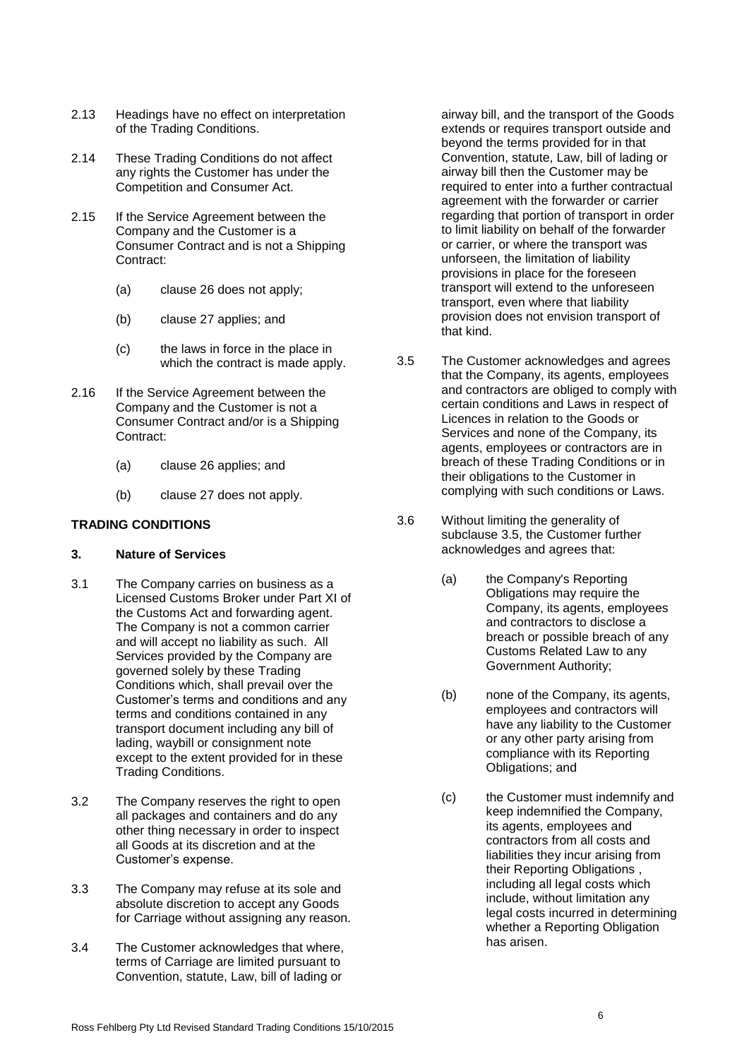- 2.13 Headings have no effect on interpretation of the Trading Conditions.
- 2.14 These Trading Conditions do not affect any rights the Customer has under the Competition and Consumer Act.
- 2.15 If the Service Agreement between the Company and the Customer is a Consumer Contract and is not a Shipping Contract:
	- (a) clause [26](#page-18-0) does not apply;
	- (b) clause [27](#page-19-0) applies; and
	- (c) the laws in force in the place in which the contract is made apply.
- 2.16 If the Service Agreement between the Company and the Customer is not a Consumer Contract and/or is a Shipping Contract:
	- (a) clause [26](#page-18-0) applies; and
	- (b) clause [27](#page-19-0) does not apply.

# **TRADING CONDITIONS**

# **3. Nature of Services**

- 3.1 The Company carries on business as a Licensed Customs Broker under Part XI of the Customs Act and forwarding agent. The Company is not a common carrier and will accept no liability as such. All Services provided by the Company are governed solely by these Trading Conditions which, shall prevail over the Customer's terms and conditions and any terms and conditions contained in any transport document including any bill of lading, waybill or consignment note except to the extent provided for in these Trading Conditions.
- 3.2 The Company reserves the right to open all packages and containers and do any other thing necessary in order to inspect all Goods at its discretion and at the Customer's expense.
- 3.3 The Company may refuse at its sole and absolute discretion to accept any Goods for Carriage without assigning any reason.
- 3.4 The Customer acknowledges that where, terms of Carriage are limited pursuant to Convention, statute, Law, bill of lading or

airway bill, and the transport of the Goods extends or requires transport outside and beyond the terms provided for in that Convention, statute, Law, bill of lading or airway bill then the Customer may be required to enter into a further contractual agreement with the forwarder or carrier regarding that portion of transport in order to limit liability on behalf of the forwarder or carrier, or where the transport was unforseen, the limitation of liability provisions in place for the foreseen transport will extend to the unforeseen transport, even where that liability provision does not envision transport of that kind.

- <span id="page-5-0"></span>3.5 The Customer acknowledges and agrees that the Company, its agents, employees and contractors are obliged to comply with certain conditions and Laws in respect of Licences in relation to the Goods or Services and none of the Company, its agents, employees or contractors are in breach of these Trading Conditions or in their obligations to the Customer in complying with such conditions or Laws.
- 3.6 Without limiting the generality of subclause [3.5,](#page-5-0) the Customer further acknowledges and agrees that:
	- (a) the Company's Reporting Obligations may require the Company, its agents, employees and contractors to disclose a breach or possible breach of any Customs Related Law to any Government Authority;
	- (b) none of the Company, its agents, employees and contractors will have any liability to the Customer or any other party arising from compliance with its Reporting Obligations; and
	- (c) the Customer must indemnify and keep indemnified the Company, its agents, employees and contractors from all costs and liabilities they incur arising from their Reporting Obligations , including all legal costs which include, without limitation any legal costs incurred in determining whether a Reporting Obligation has arisen.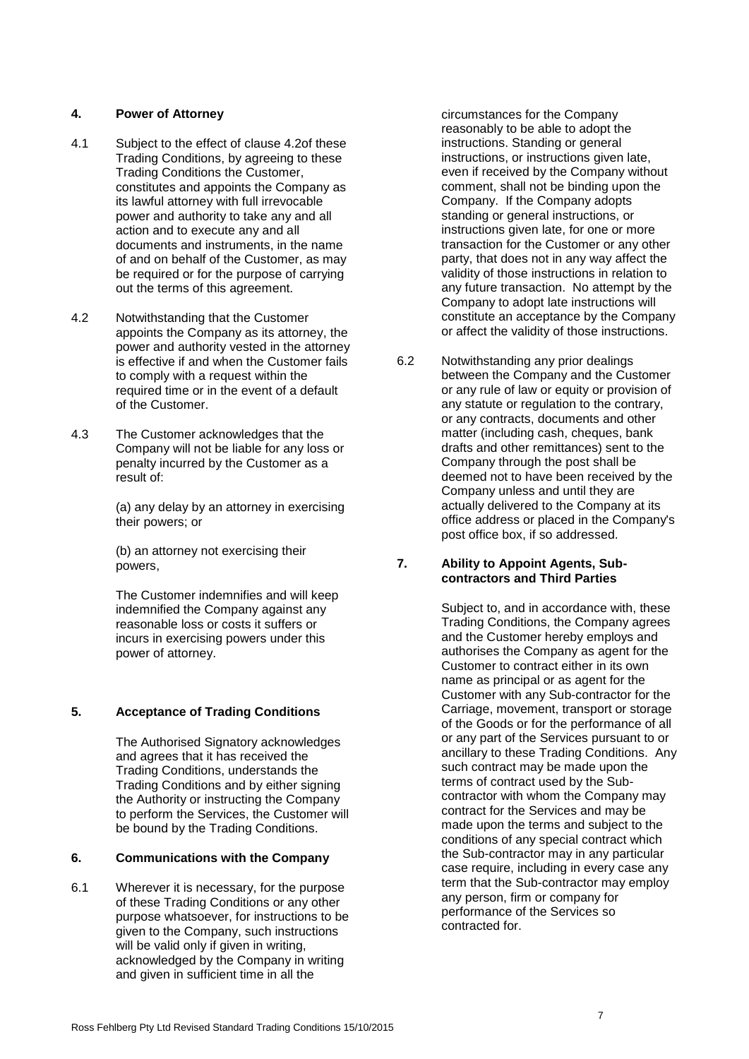# **4. Power of Attorney**

- 4.1 Subject to the effect of clause [4.2o](#page-6-0)f these Trading Conditions, by agreeing to these Trading Conditions the Customer, constitutes and appoints the Company as its lawful attorney with full irrevocable power and authority to take any and all action and to execute any and all documents and instruments, in the name of and on behalf of the Customer, as may be required or for the purpose of carrying out the terms of this agreement.
- <span id="page-6-0"></span>4.2 Notwithstanding that the Customer appoints the Company as its attorney, the power and authority vested in the attorney is effective if and when the Customer fails to comply with a request within the required time or in the event of a default of the Customer.
- 4.3 The Customer acknowledges that the Company will not be liable for any loss or penalty incurred by the Customer as a result of:

(a) any delay by an attorney in exercising their powers; or

(b) an attorney not exercising their powers,

The Customer indemnifies and will keep indemnified the Company against any reasonable loss or costs it suffers or incurs in exercising powers under this power of attorney.

# **5. Acceptance of Trading Conditions**

The Authorised Signatory acknowledges and agrees that it has received the Trading Conditions, understands the Trading Conditions and by either signing the Authority or instructing the Company to perform the Services, the Customer will be bound by the Trading Conditions.

### **6. Communications with the Company**

6.1 Wherever it is necessary, for the purpose of these Trading Conditions or any other purpose whatsoever, for instructions to be given to the Company, such instructions will be valid only if given in writing, acknowledged by the Company in writing and given in sufficient time in all the

circumstances for the Company reasonably to be able to adopt the instructions. Standing or general instructions, or instructions given late, even if received by the Company without comment, shall not be binding upon the Company. If the Company adopts standing or general instructions, or instructions given late, for one or more transaction for the Customer or any other party, that does not in any way affect the validity of those instructions in relation to any future transaction. No attempt by the Company to adopt late instructions will constitute an acceptance by the Company or affect the validity of those instructions.

6.2 Notwithstanding any prior dealings between the Company and the Customer or any rule of law or equity or provision of any statute or regulation to the contrary, or any contracts, documents and other matter (including cash, cheques, bank drafts and other remittances) sent to the Company through the post shall be deemed not to have been received by the Company unless and until they are actually delivered to the Company at its office address or placed in the Company's post office box, if so addressed.

<span id="page-6-1"></span>**7. Ability to Appoint Agents, Subcontractors and Third Parties**

> Subject to, and in accordance with, these Trading Conditions, the Company agrees and the Customer hereby employs and authorises the Company as agent for the Customer to contract either in its own name as principal or as agent for the Customer with any Sub-contractor for the Carriage, movement, transport or storage of the Goods or for the performance of all or any part of the Services pursuant to or ancillary to these Trading Conditions. Any such contract may be made upon the terms of contract used by the Subcontractor with whom the Company may contract for the Services and may be made upon the terms and subject to the conditions of any special contract which the Sub-contractor may in any particular case require, including in every case any term that the Sub-contractor may employ any person, firm or company for performance of the Services so contracted for.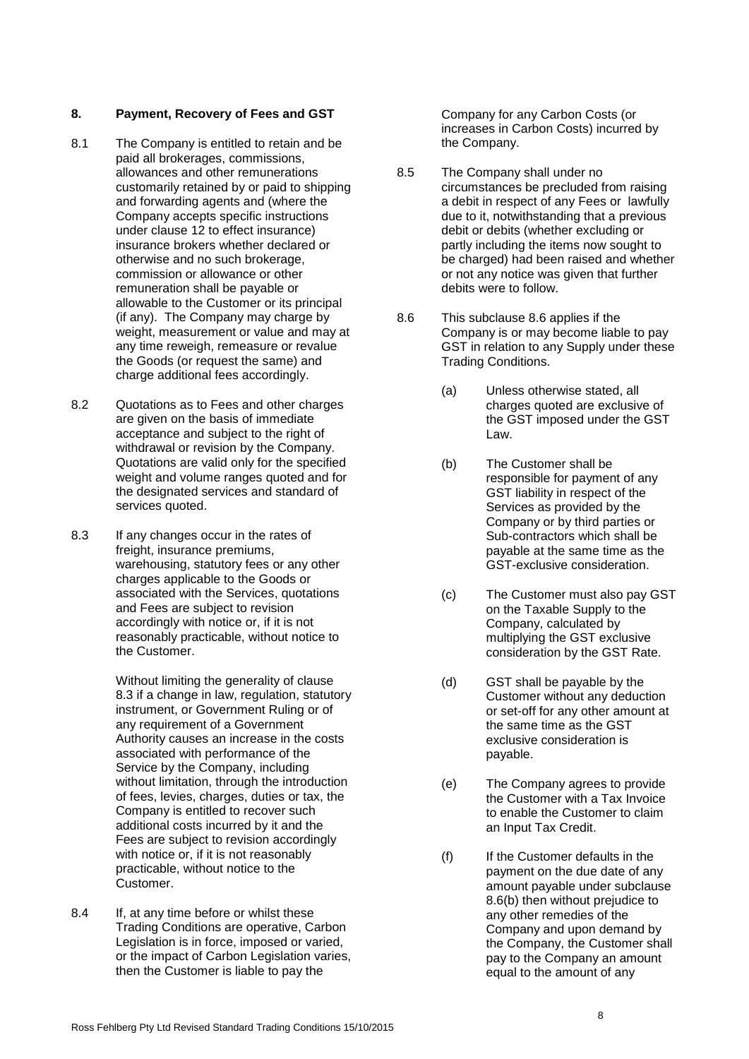# <span id="page-7-3"></span>**8. Payment, Recovery of Fees and GST**

- 8.1 The Company is entitled to retain and be paid all brokerages, commissions, allowances and other remunerations customarily retained by or paid to shipping and forwarding agents and (where the Company accepts specific instructions under clause [12](#page-12-0) to effect insurance) insurance brokers whether declared or otherwise and no such brokerage, commission or allowance or other remuneration shall be payable or allowable to the Customer or its principal (if any). The Company may charge by weight, measurement or value and may at any time reweigh, remeasure or revalue the Goods (or request the same) and charge additional fees accordingly.
- 8.2 Quotations as to Fees and other charges are given on the basis of immediate acceptance and subject to the right of withdrawal or revision by the Company. Quotations are valid only for the specified weight and volume ranges quoted and for the designated services and standard of services quoted.
- <span id="page-7-0"></span>8.3 If any changes occur in the rates of freight, insurance premiums, warehousing, statutory fees or any other charges applicable to the Goods or associated with the Services, quotations and Fees are subject to revision accordingly with notice or, if it is not reasonably practicable, without notice to the Customer.

Without limiting the generality of clause [8.3](#page-7-0) if a change in law, regulation, statutory instrument, or Government Ruling or of any requirement of a Government Authority causes an increase in the costs associated with performance of the Service by the Company, including without limitation, through the introduction of fees, levies, charges, duties or tax, the Company is entitled to recover such additional costs incurred by it and the Fees are subject to revision accordingly with notice or, if it is not reasonably practicable, without notice to the Customer.

8.4 If, at any time before or whilst these Trading Conditions are operative, Carbon Legislation is in force, imposed or varied, or the impact of Carbon Legislation varies, then the Customer is liable to pay the

Company for any Carbon Costs (or increases in Carbon Costs) incurred by the Company.

- 8.5 The Company shall under no circumstances be precluded from raising a debit in respect of any Fees or lawfully due to it, notwithstanding that a previous debit or debits (whether excluding or partly including the items now sought to be charged) had been raised and whether or not any notice was given that further debits were to follow.
- <span id="page-7-2"></span><span id="page-7-1"></span>8.6 This subclause [8.6](#page-7-1) applies if the Company is or may become liable to pay GST in relation to any Supply under these Trading Conditions.
	- (a) Unless otherwise stated, all charges quoted are exclusive of the GST imposed under the GST Law.
	- (b) The Customer shall be responsible for payment of any GST liability in respect of the Services as provided by the Company or by third parties or Sub-contractors which shall be payable at the same time as the GST-exclusive consideration.
	- (c) The Customer must also pay GST on the Taxable Supply to the Company, calculated by multiplying the GST exclusive consideration by the GST Rate.
	- (d) GST shall be payable by the Customer without any deduction or set-off for any other amount at the same time as the GST exclusive consideration is payable.
	- (e) The Company agrees to provide the Customer with a Tax Invoice to enable the Customer to claim an Input Tax Credit.
	- (f) If the Customer defaults in the payment on the due date of any amount payable under subclause [8.6\(b\)](#page-7-2) then without prejudice to any other remedies of the Company and upon demand by the Company, the Customer shall pay to the Company an amount equal to the amount of any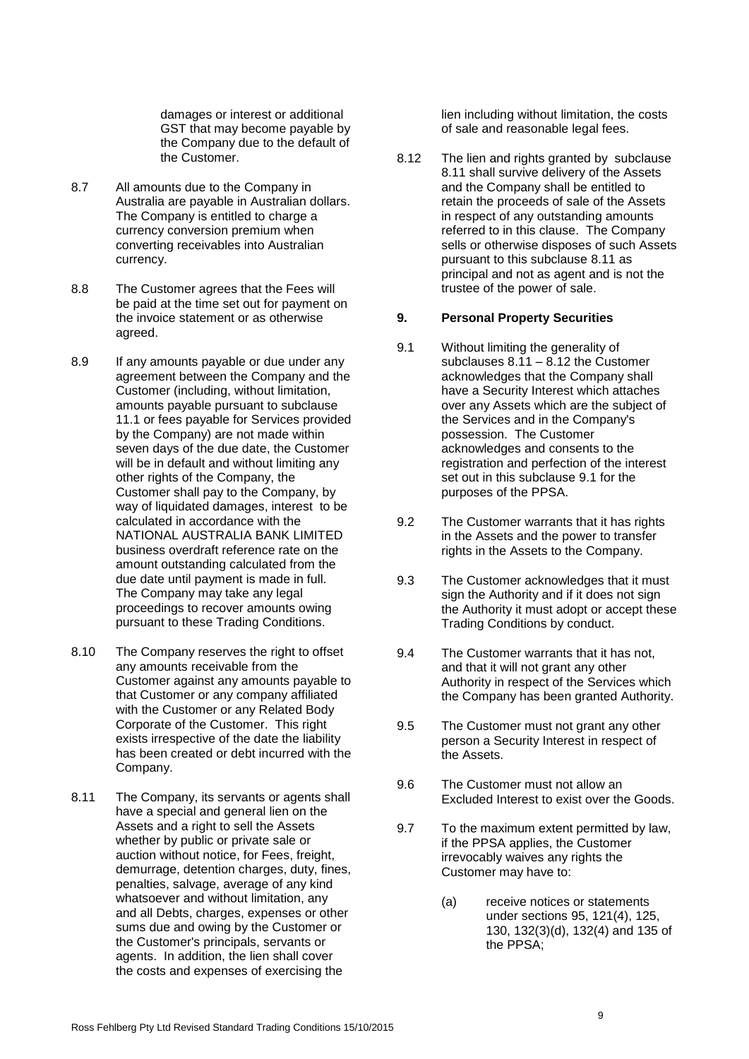damages or interest or additional GST that may become payable by the Company due to the default of the Customer.

- 8.7 All amounts due to the Company in Australia are payable in Australian dollars. The Company is entitled to charge a currency conversion premium when converting receivables into Australian currency.
- 8.8 The Customer agrees that the Fees will be paid at the time set out for payment on the invoice statement or as otherwise agreed.
- 8.9 If any amounts payable or due under any agreement between the Company and the Customer (including, without limitation, amounts payable pursuant to subclause [11.1](#page-10-0) or fees payable for Services provided by the Company) are not made within seven days of the due date, the Customer will be in default and without limiting any other rights of the Company, the Customer shall pay to the Company, by way of liquidated damages, interest to be calculated in accordance with the NATIONAL AUSTRALIA BANK LIMITED business overdraft reference rate on the amount outstanding calculated from the due date until payment is made in full. The Company may take any legal proceedings to recover amounts owing pursuant to these Trading Conditions.
- 8.10 The Company reserves the right to offset any amounts receivable from the Customer against any amounts payable to that Customer or any company affiliated with the Customer or any Related Body Corporate of the Customer. This right exists irrespective of the date the liability has been created or debt incurred with the Company.
- <span id="page-8-0"></span>8.11 The Company, its servants or agents shall have a special and general lien on the Assets and a right to sell the Assets whether by public or private sale or auction without notice, for Fees, freight, demurrage, detention charges, duty, fines, penalties, salvage, average of any kind whatsoever and without limitation, any and all Debts, charges, expenses or other sums due and owing by the Customer or the Customer's principals, servants or agents. In addition, the lien shall cover the costs and expenses of exercising the

lien including without limitation, the costs of sale and reasonable legal fees.

<span id="page-8-1"></span>8.12 The lien and rights granted by subclause [8.11](#page-8-0) shall survive delivery of the Assets and the Company shall be entitled to retain the proceeds of sale of the Assets in respect of any outstanding amounts referred to in this clause. The Company sells or otherwise disposes of such Assets pursuant to this subclause [8.11](#page-8-0) as principal and not as agent and is not the trustee of the power of sale.

## <span id="page-8-2"></span>**9. Personal Property Securities**

- 9.1 Without limiting the generality of subclauses [8.11](#page-8-0) – [8.12](#page-8-1) the Customer acknowledges that the Company shall have a Security Interest which attaches over any Assets which are the subject of the Services and in the Company's possession. The Customer acknowledges and consents to the registration and perfection of the interest set out in this subclause [9.1](#page-8-2) for the purposes of the PPSA.
- 9.2 The Customer warrants that it has rights in the Assets and the power to transfer rights in the Assets to the Company.
- 9.3 The Customer acknowledges that it must sign the Authority and if it does not sign the Authority it must adopt or accept these Trading Conditions by conduct.
- 9.4 The Customer warrants that it has not, and that it will not grant any other Authority in respect of the Services which the Company has been granted Authority.
- 9.5 The Customer must not grant any other person a Security Interest in respect of the Assets.
- 9.6 The Customer must not allow an Excluded Interest to exist over the Goods.
- 9.7 To the maximum extent permitted by law, if the PPSA applies, the Customer irrevocably waives any rights the Customer may have to:
	- (a) receive notices or statements under sections 95, 121(4), 125, 130, 132(3)(d), 132(4) and 135 of the PPSA;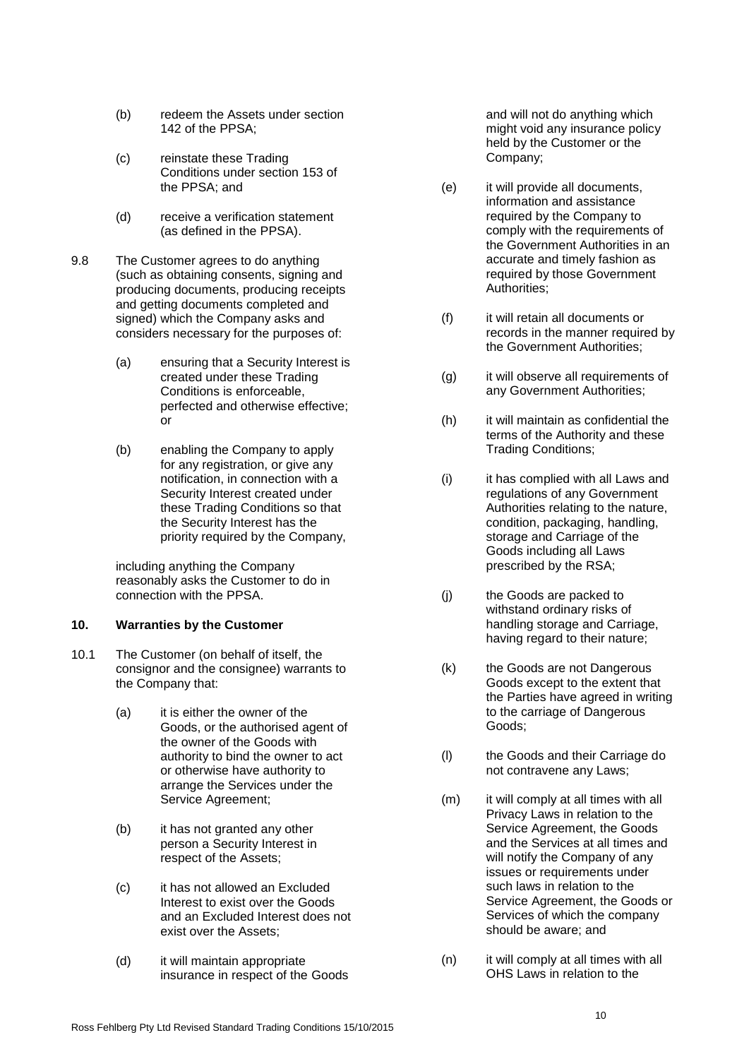- (b) redeem the Assets under section 142 of the PPSA;
- (c) reinstate these Trading Conditions under section 153 of the PPSA; and
- (d) receive a verification statement (as defined in the PPSA).
- 9.8 The Customer agrees to do anything (such as obtaining consents, signing and producing documents, producing receipts and getting documents completed and signed) which the Company asks and considers necessary for the purposes of:
	- (a) ensuring that a Security Interest is created under these Trading Conditions is enforceable, perfected and otherwise effective; or
	- (b) enabling the Company to apply for any registration, or give any notification, in connection with a Security Interest created under these Trading Conditions so that the Security Interest has the priority required by the Company,

including anything the Company reasonably asks the Customer to do in connection with the PPSA.

# **10. Warranties by the Customer**

- <span id="page-9-0"></span>10.1 The Customer (on behalf of itself, the consignor and the consignee) warrants to the Company that:
	- (a) it is either the owner of the Goods, or the authorised agent of the owner of the Goods with authority to bind the owner to act or otherwise have authority to arrange the Services under the Service Agreement;
	- (b) it has not granted any other person a Security Interest in respect of the Assets;
	- (c) it has not allowed an Excluded Interest to exist over the Goods and an Excluded Interest does not exist over the Assets;
	- (d) it will maintain appropriate insurance in respect of the Goods

and will not do anything which might void any insurance policy held by the Customer or the Company;

- (e) it will provide all documents, information and assistance required by the Company to comply with the requirements of the Government Authorities in an accurate and timely fashion as required by those Government Authorities;
- (f) it will retain all documents or records in the manner required by the Government Authorities;
- (g) it will observe all requirements of any Government Authorities;
- (h) it will maintain as confidential the terms of the Authority and these Trading Conditions;
- (i) it has complied with all Laws and regulations of any Government Authorities relating to the nature, condition, packaging, handling, storage and Carriage of the Goods including all Laws prescribed by the RSA;
- (j) the Goods are packed to withstand ordinary risks of handling storage and Carriage, having regard to their nature;
- (k) the Goods are not Dangerous Goods except to the extent that the Parties have agreed in writing to the carriage of Dangerous Goods;
- (l) the Goods and their Carriage do not contravene any Laws;
- (m) it will comply at all times with all Privacy Laws in relation to the Service Agreement, the Goods and the Services at all times and will notify the Company of any issues or requirements under such laws in relation to the Service Agreement, the Goods or Services of which the company should be aware; and
- (n) it will comply at all times with all OHS Laws in relation to the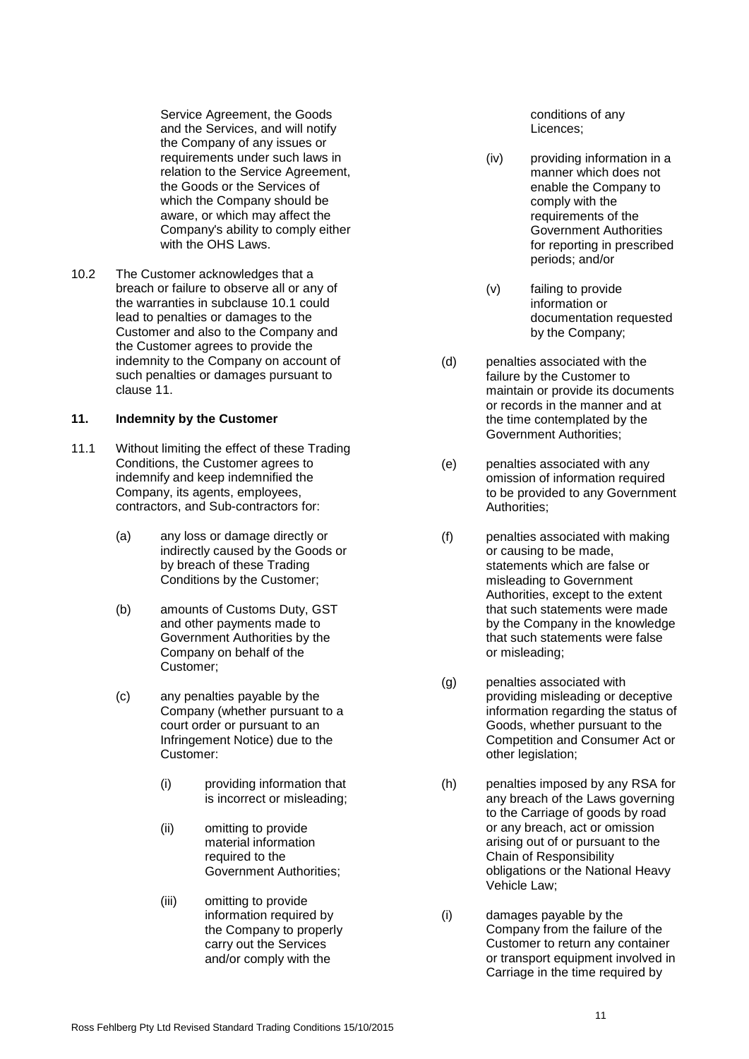Service Agreement, the Goods and the Services, and will notify the Company of any issues or requirements under such laws in relation to the Service Agreement, the Goods or the Services of which the Company should be aware, or which may affect the Company's ability to comply either with the OHS Laws.

10.2 The Customer acknowledges that a breach or failure to observe all or any of the warranties in subclause [10.1](#page-9-0) could lead to penalties or damages to the Customer and also to the Company and the Customer agrees to provide the indemnity to the Company on account of such penalties or damages pursuant to clause [11.](#page-10-1)

## <span id="page-10-1"></span>**11. Indemnity by the Customer**

- <span id="page-10-0"></span>11.1 Without limiting the effect of these Trading Conditions, the Customer agrees to indemnify and keep indemnified the Company, its agents, employees, contractors, and Sub-contractors for:
	- (a) any loss or damage directly or indirectly caused by the Goods or by breach of these Trading Conditions by the Customer;
	- (b) amounts of Customs Duty, GST and other payments made to Government Authorities by the Company on behalf of the Customer;
	- (c) any penalties payable by the Company (whether pursuant to a court order or pursuant to an Infringement Notice) due to the Customer:
		- (i) providing information that is incorrect or misleading;
		- (ii) omitting to provide material information required to the Government Authorities;
		- (iii) omitting to provide information required by the Company to properly carry out the Services and/or comply with the

conditions of any Licences;

- (iv) providing information in a manner which does not enable the Company to comply with the requirements of the Government Authorities for reporting in prescribed periods; and/or
- (v) failing to provide information or documentation requested by the Company;
- (d) penalties associated with the failure by the Customer to maintain or provide its documents or records in the manner and at the time contemplated by the Government Authorities;
- (e) penalties associated with any omission of information required to be provided to any Government Authorities;
- (f) penalties associated with making or causing to be made, statements which are false or misleading to Government Authorities, except to the extent that such statements were made by the Company in the knowledge that such statements were false or misleading;
- (g) penalties associated with providing misleading or deceptive information regarding the status of Goods, whether pursuant to the Competition and Consumer Act or other legislation;
- (h) penalties imposed by any RSA for any breach of the Laws governing to the Carriage of goods by road or any breach, act or omission arising out of or pursuant to the Chain of Responsibility obligations or the National Heavy Vehicle Law;
- (i) damages payable by the Company from the failure of the Customer to return any container or transport equipment involved in Carriage in the time required by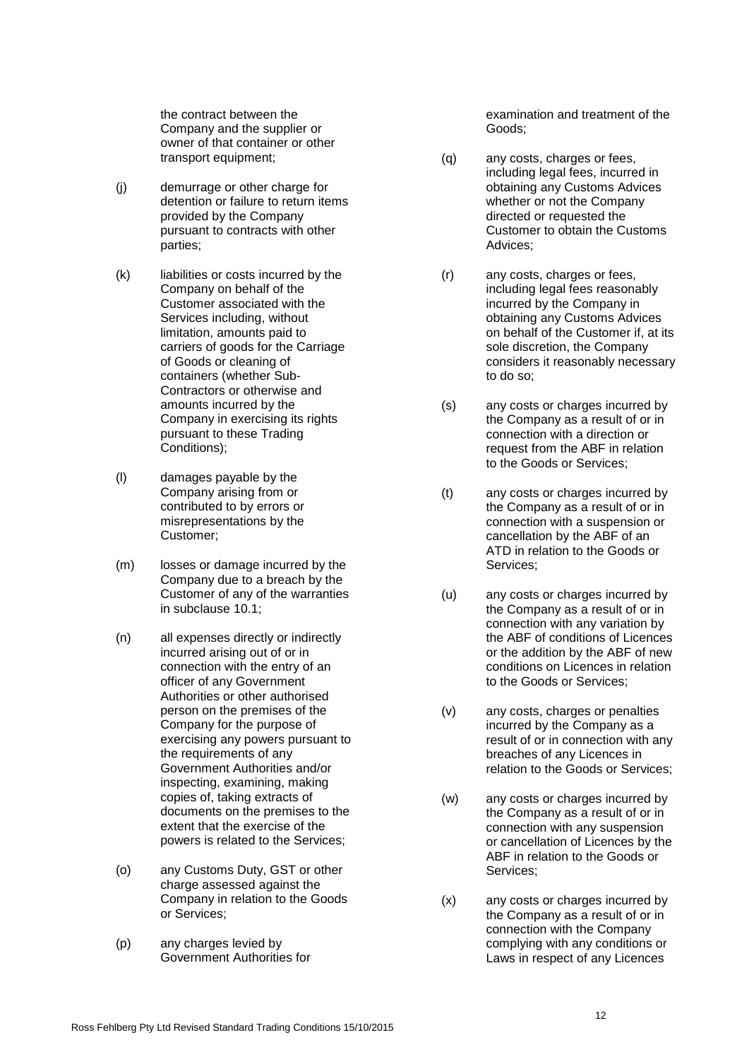the contract between the Company and the supplier or owner of that container or other transport equipment;

- (j) demurrage or other charge for detention or failure to return items provided by the Company pursuant to contracts with other parties;
- (k) liabilities or costs incurred by the Company on behalf of the Customer associated with the Services including, without limitation, amounts paid to carriers of goods for the Carriage of Goods or cleaning of containers (whether Sub-Contractors or otherwise and amounts incurred by the Company in exercising its rights pursuant to these Trading Conditions);
- (l) damages payable by the Company arising from or contributed to by errors or misrepresentations by the Customer;
- (m) losses or damage incurred by the Company due to a breach by the Customer of any of the warranties in subclause [10.1;](#page-9-0)
- (n) all expenses directly or indirectly incurred arising out of or in connection with the entry of an officer of any Government Authorities or other authorised person on the premises of the Company for the purpose of exercising any powers pursuant to the requirements of any Government Authorities and/or inspecting, examining, making copies of, taking extracts of documents on the premises to the extent that the exercise of the powers is related to the Services;
- (o) any Customs Duty, GST or other charge assessed against the Company in relation to the Goods or Services;
- (p) any charges levied by Government Authorities for

examination and treatment of the Goods;

- (q) any costs, charges or fees, including legal fees, incurred in obtaining any Customs Advices whether or not the Company directed or requested the Customer to obtain the Customs Advices;
- (r) any costs, charges or fees, including legal fees reasonably incurred by the Company in obtaining any Customs Advices on behalf of the Customer if, at its sole discretion, the Company considers it reasonably necessary to do so;
- (s) any costs or charges incurred by the Company as a result of or in connection with a direction or request from the ABF in relation to the Goods or Services;
- (t) any costs or charges incurred by the Company as a result of or in connection with a suspension or cancellation by the ABF of an ATD in relation to the Goods or Services;
- (u) any costs or charges incurred by the Company as a result of or in connection with any variation by the ABF of conditions of Licences or the addition by the ABF of new conditions on Licences in relation to the Goods or Services;
- (v) any costs, charges or penalties incurred by the Company as a result of or in connection with any breaches of any Licences in relation to the Goods or Services;
- (w) any costs or charges incurred by the Company as a result of or in connection with any suspension or cancellation of Licences by the ABF in relation to the Goods or Services;
- (x) any costs or charges incurred by the Company as a result of or in connection with the Company complying with any conditions or Laws in respect of any Licences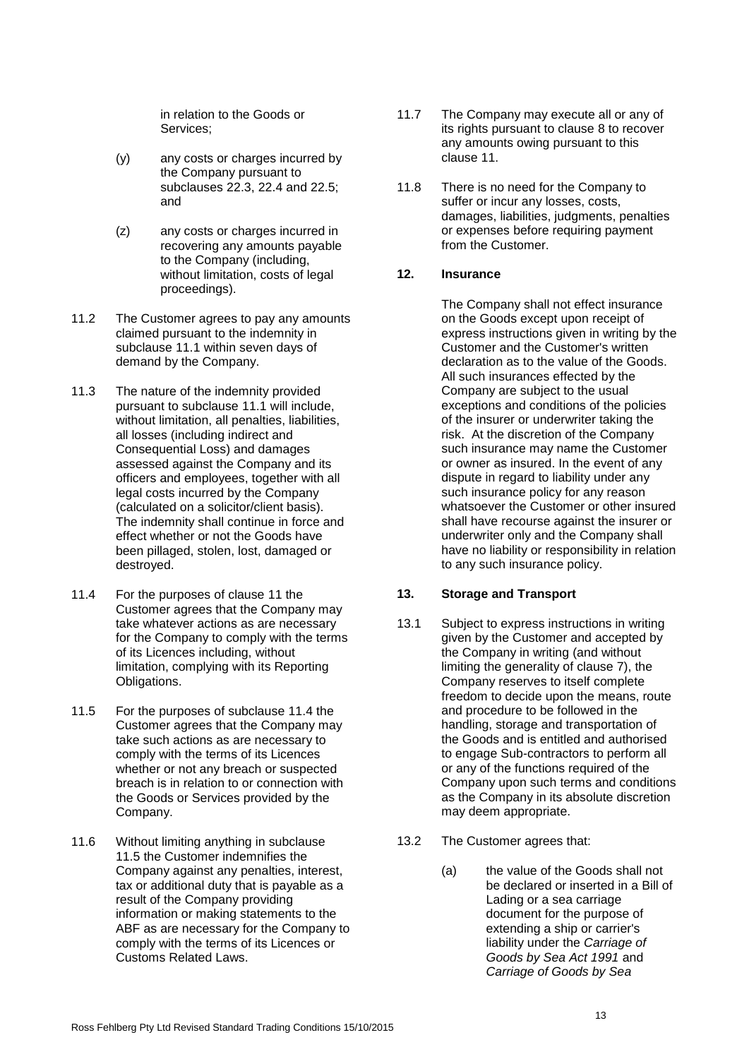in relation to the Goods or Services;

- (y) any costs or charges incurred by the Company pursuant to subclauses [22.3,](#page-16-0) [22.4](#page-16-1) and [22.5;](#page-17-0) and
- (z) any costs or charges incurred in recovering any amounts payable to the Company (including, without limitation, costs of legal proceedings).
- 11.2 The Customer agrees to pay any amounts claimed pursuant to the indemnity in subclause [11.1](#page-10-0) within seven days of demand by the Company.
- <span id="page-12-4"></span>11.3 The nature of the indemnity provided pursuant to subclause [11.1](#page-10-0) will include, without limitation, all penalties, liabilities, all losses (including indirect and Consequential Loss) and damages assessed against the Company and its officers and employees, together with all legal costs incurred by the Company (calculated on a solicitor/client basis). The indemnity shall continue in force and effect whether or not the Goods have been pillaged, stolen, lost, damaged or destroyed.
- <span id="page-12-1"></span>11.4 For the purposes of clause [11](#page-10-1) the Customer agrees that the Company may take whatever actions as are necessary for the Company to comply with the terms of its Licences including, without limitation, complying with its Reporting Obligations.
- <span id="page-12-2"></span>11.5 For the purposes of subclause [11.4](#page-12-1) the Customer agrees that the Company may take such actions as are necessary to comply with the terms of its Licences whether or not any breach or suspected breach is in relation to or connection with the Goods or Services provided by the Company.
- 11.6 Without limiting anything in subclause [11.5](#page-12-2) the Customer indemnifies the Company against any penalties, interest, tax or additional duty that is payable as a result of the Company providing information or making statements to the ABF as are necessary for the Company to comply with the terms of its Licences or Customs Related Laws.
- 11.7 The Company may execute all or any of its rights pursuant to clause [8](#page-7-3) to recover any amounts owing pursuant to this clause [11.](#page-10-1)
- 11.8 There is no need for the Company to suffer or incur any losses, costs. damages, liabilities, judgments, penalties or expenses before requiring payment from the Customer.

# <span id="page-12-0"></span>**12. Insurance**

The Company shall not effect insurance on the Goods except upon receipt of express instructions given in writing by the Customer and the Customer's written declaration as to the value of the Goods. All such insurances effected by the Company are subject to the usual exceptions and conditions of the policies of the insurer or underwriter taking the risk. At the discretion of the Company such insurance may name the Customer or owner as insured. In the event of any dispute in regard to liability under any such insurance policy for any reason whatsoever the Customer or other insured shall have recourse against the insurer or underwriter only and the Company shall have no liability or responsibility in relation to any such insurance policy.

# <span id="page-12-3"></span>**13. Storage and Transport**

- 13.1 Subject to express instructions in writing given by the Customer and accepted by the Company in writing (and without limiting the generality of clause [7\)](#page-6-1), the Company reserves to itself complete freedom to decide upon the means, route and procedure to be followed in the handling, storage and transportation of the Goods and is entitled and authorised to engage Sub-contractors to perform all or any of the functions required of the Company upon such terms and conditions as the Company in its absolute discretion may deem appropriate.
- 13.2 The Customer agrees that:
	- (a) the value of the Goods shall not be declared or inserted in a Bill of Lading or a sea carriage document for the purpose of extending a ship or carrier's liability under the *Carriage of Goods by Sea Act 1991* and *Carriage of Goods by Sea*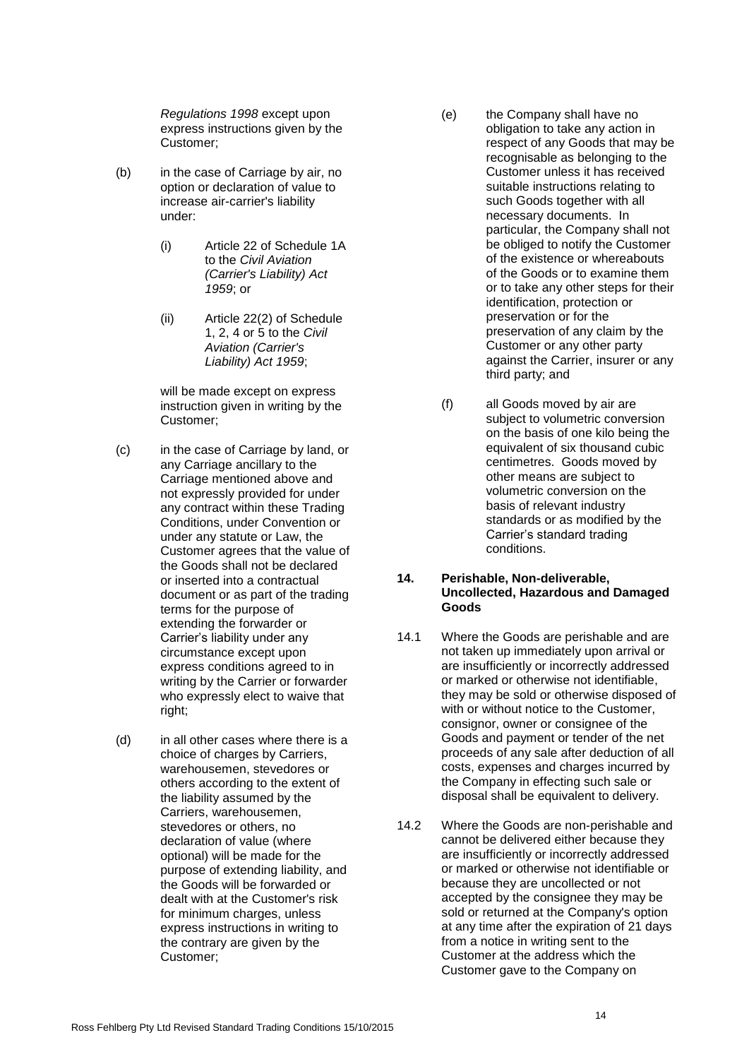*Regulations 1998* except upon express instructions given by the Customer;

- (b) in the case of Carriage by air, no option or declaration of value to increase air-carrier's liability under:
	- (i) Article 22 of Schedule 1A to the *Civil Aviation (Carrier's Liability) Act 1959*; or
	- (ii) Article 22(2) of Schedule 1, 2, 4 or 5 to the *Civil Aviation (Carrier's Liability) Act 1959*;

will be made except on express instruction given in writing by the Customer;

- (c) in the case of Carriage by land, or any Carriage ancillary to the Carriage mentioned above and not expressly provided for under any contract within these Trading Conditions, under Convention or under any statute or Law, the Customer agrees that the value of the Goods shall not be declared or inserted into a contractual document or as part of the trading terms for the purpose of extending the forwarder or Carrier's liability under any circumstance except upon express conditions agreed to in writing by the Carrier or forwarder who expressly elect to waive that right:
- (d) in all other cases where there is a choice of charges by Carriers, warehousemen, stevedores or others according to the extent of the liability assumed by the Carriers, warehousemen, stevedores or others, no declaration of value (where optional) will be made for the purpose of extending liability, and the Goods will be forwarded or dealt with at the Customer's risk for minimum charges, unless express instructions in writing to the contrary are given by the Customer;
- (e) the Company shall have no obligation to take any action in respect of any Goods that may be recognisable as belonging to the Customer unless it has received suitable instructions relating to such Goods together with all necessary documents. In particular, the Company shall not be obliged to notify the Customer of the existence or whereabouts of the Goods or to examine them or to take any other steps for their identification, protection or preservation or for the preservation of any claim by the Customer or any other party against the Carrier, insurer or any third party; and
- (f) all Goods moved by air are subject to volumetric conversion on the basis of one kilo being the equivalent of six thousand cubic centimetres. Goods moved by other means are subject to volumetric conversion on the basis of relevant industry standards or as modified by the Carrier's standard trading conditions.

### **14. Perishable, Non-deliverable, Uncollected, Hazardous and Damaged Goods**

- <span id="page-13-0"></span>14.1 Where the Goods are perishable and are not taken up immediately upon arrival or are insufficiently or incorrectly addressed or marked or otherwise not identifiable, they may be sold or otherwise disposed of with or without notice to the Customer, consignor, owner or consignee of the Goods and payment or tender of the net proceeds of any sale after deduction of all costs, expenses and charges incurred by the Company in effecting such sale or disposal shall be equivalent to delivery.
- <span id="page-13-1"></span>14.2 Where the Goods are non-perishable and cannot be delivered either because they are insufficiently or incorrectly addressed or marked or otherwise not identifiable or because they are uncollected or not accepted by the consignee they may be sold or returned at the Company's option at any time after the expiration of 21 days from a notice in writing sent to the Customer at the address which the Customer gave to the Company on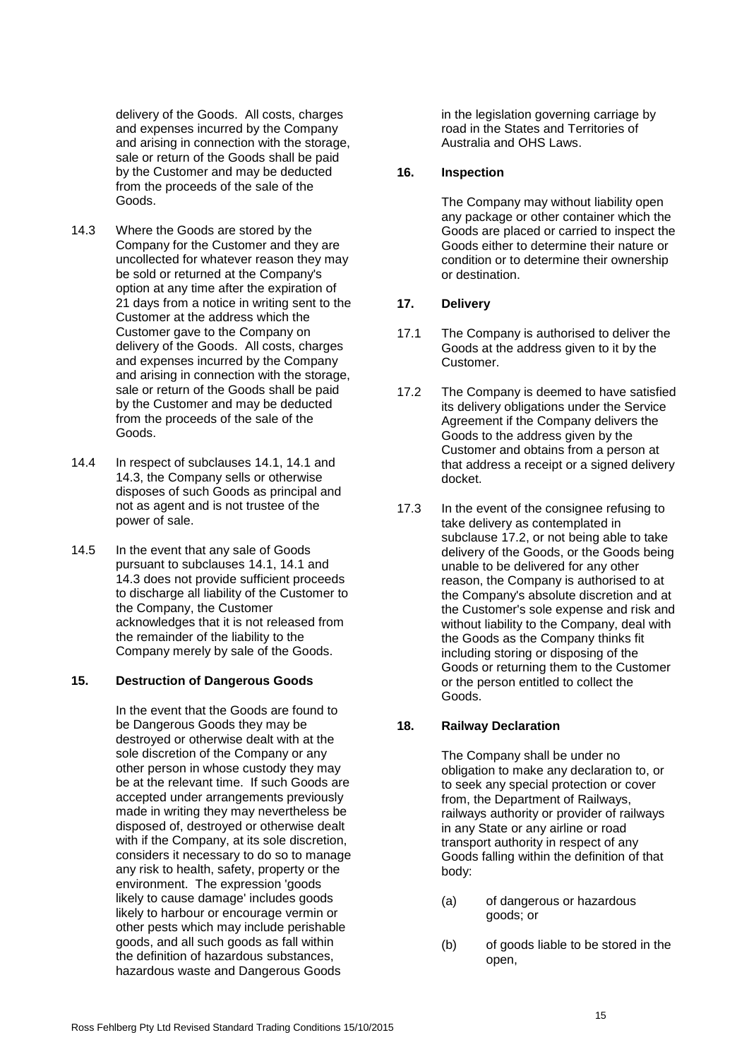delivery of the Goods. All costs, charges and expenses incurred by the Company and arising in connection with the storage, sale or return of the Goods shall be paid by the Customer and may be deducted from the proceeds of the sale of the Goods.

- <span id="page-14-0"></span>14.3 Where the Goods are stored by the Company for the Customer and they are uncollected for whatever reason they may be sold or returned at the Company's option at any time after the expiration of 21 days from a notice in writing sent to the Customer at the address which the Customer gave to the Company on delivery of the Goods. All costs, charges and expenses incurred by the Company and arising in connection with the storage, sale or return of the Goods shall be paid by the Customer and may be deducted from the proceeds of the sale of the Goods.
- 14.4 In respect of subclauses [14.1,](#page-13-0) [14.1](#page-13-1) and [14.3,](#page-14-0) the Company sells or otherwise disposes of such Goods as principal and not as agent and is not trustee of the power of sale.
- 14.5 In the event that any sale of Goods pursuant to subclauses [14.1,](#page-13-0) [14.1](#page-13-1) and [14.3](#page-14-0) does not provide sufficient proceeds to discharge all liability of the Customer to the Company, the Customer acknowledges that it is not released from the remainder of the liability to the Company merely by sale of the Goods.

# **15. Destruction of Dangerous Goods**

In the event that the Goods are found to be Dangerous Goods they may be destroyed or otherwise dealt with at the sole discretion of the Company or any other person in whose custody they may be at the relevant time. If such Goods are accepted under arrangements previously made in writing they may nevertheless be disposed of, destroyed or otherwise dealt with if the Company, at its sole discretion, considers it necessary to do so to manage any risk to health, safety, property or the environment. The expression 'goods likely to cause damage' includes goods likely to harbour or encourage vermin or other pests which may include perishable goods, and all such goods as fall within the definition of hazardous substances, hazardous waste and Dangerous Goods

in the legislation governing carriage by road in the States and Territories of Australia and OHS Laws.

## **16. Inspection**

The Company may without liability open any package or other container which the Goods are placed or carried to inspect the Goods either to determine their nature or condition or to determine their ownership or destination.

# **17. Delivery**

- 17.1 The Company is authorised to deliver the Goods at the address given to it by the Customer.
- <span id="page-14-1"></span>17.2 The Company is deemed to have satisfied its delivery obligations under the Service Agreement if the Company delivers the Goods to the address given by the Customer and obtains from a person at that address a receipt or a signed delivery docket.
- 17.3 In the event of the consignee refusing to take delivery as contemplated in subclause [17.2,](#page-14-1) or not being able to take delivery of the Goods, or the Goods being unable to be delivered for any other reason, the Company is authorised to at the Company's absolute discretion and at the Customer's sole expense and risk and without liability to the Company, deal with the Goods as the Company thinks fit including storing or disposing of the Goods or returning them to the Customer or the person entitled to collect the Goods.

# **18. Railway Declaration**

The Company shall be under no obligation to make any declaration to, or to seek any special protection or cover from, the Department of Railways, railways authority or provider of railways in any State or any airline or road transport authority in respect of any Goods falling within the definition of that body:

- (a) of dangerous or hazardous goods; or
- (b) of goods liable to be stored in the open,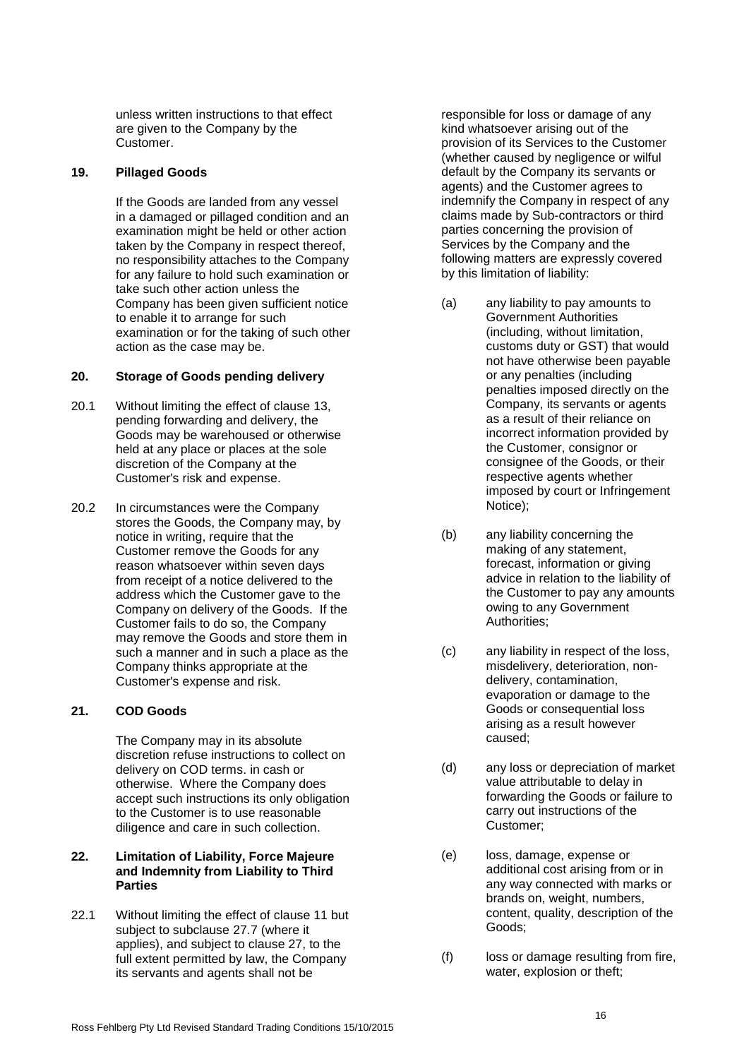unless written instructions to that effect are given to the Company by the Customer.

## **19. Pillaged Goods**

If the Goods are landed from any vessel in a damaged or pillaged condition and an examination might be held or other action taken by the Company in respect thereof, no responsibility attaches to the Company for any failure to hold such examination or take such other action unless the Company has been given sufficient notice to enable it to arrange for such examination or for the taking of such other action as the case may be.

## **20. Storage of Goods pending delivery**

- 20.1 Without limiting the effect of clause [13,](#page-12-3) pending forwarding and delivery, the Goods may be warehoused or otherwise held at any place or places at the sole discretion of the Company at the Customer's risk and expense.
- 20.2 In circumstances were the Company stores the Goods, the Company may, by notice in writing, require that the Customer remove the Goods for any reason whatsoever within seven days from receipt of a notice delivered to the address which the Customer gave to the Company on delivery of the Goods. If the Customer fails to do so, the Company may remove the Goods and store them in such a manner and in such a place as the Company thinks appropriate at the Customer's expense and risk.

# <span id="page-15-0"></span>**21. COD Goods**

The Company may in its absolute discretion refuse instructions to collect on delivery on COD terms. in cash or otherwise. Where the Company does accept such instructions its only obligation to the Customer is to use reasonable diligence and care in such collection.

## **22. Limitation of Liability, Force Majeure and Indemnity from Liability to Third Parties**

<span id="page-15-1"></span>22.1 Without limiting the effect of clause [11](#page-10-1) but subject to subclause [27.7](#page-19-1) (where it applies), and subject to clause [27,](#page-19-0) to the full extent permitted by law, the Company its servants and agents shall not be

responsible for loss or damage of any kind whatsoever arising out of the provision of its Services to the Customer (whether caused by negligence or wilful default by the Company its servants or agents) and the Customer agrees to indemnify the Company in respect of any claims made by Sub-contractors or third parties concerning the provision of Services by the Company and the following matters are expressly covered by this limitation of liability:

- (a) any liability to pay amounts to Government Authorities (including, without limitation, customs duty or GST) that would not have otherwise been payable or any penalties (including penalties imposed directly on the Company, its servants or agents as a result of their reliance on incorrect information provided by the Customer, consignor or consignee of the Goods, or their respective agents whether imposed by court or Infringement Notice);
- (b) any liability concerning the making of any statement, forecast, information or giving advice in relation to the liability of the Customer to pay any amounts owing to any Government Authorities;
- (c) any liability in respect of the loss, misdelivery, deterioration, nondelivery, contamination, evaporation or damage to the Goods or consequential loss arising as a result however caused;
- (d) any loss or depreciation of market value attributable to delay in forwarding the Goods or failure to carry out instructions of the Customer;
- (e) loss, damage, expense or additional cost arising from or in any way connected with marks or brands on, weight, numbers, content, quality, description of the Goods;
- (f) loss or damage resulting from fire, water, explosion or theft;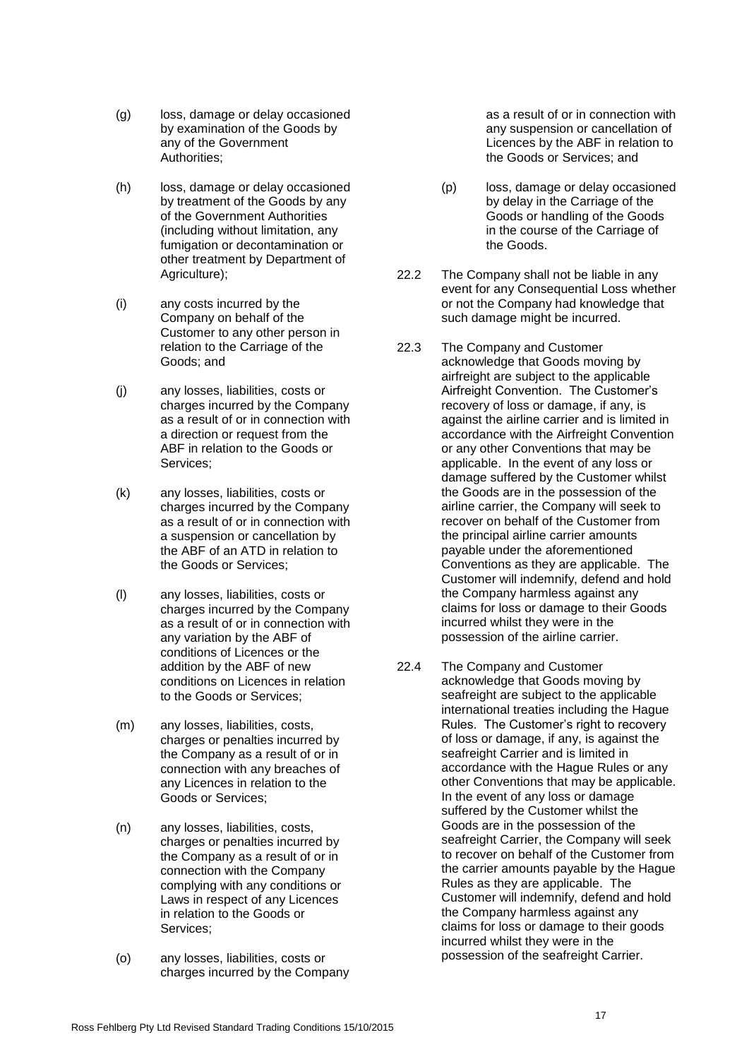- (g) loss, damage or delay occasioned by examination of the Goods by any of the Government Authorities;
- (h) loss, damage or delay occasioned by treatment of the Goods by any of the Government Authorities (including without limitation, any fumigation or decontamination or other treatment by Department of Agriculture);
- (i) any costs incurred by the Company on behalf of the Customer to any other person in relation to the Carriage of the Goods; and
- (j) any losses, liabilities, costs or charges incurred by the Company as a result of or in connection with a direction or request from the ABF in relation to the Goods or Services;
- (k) any losses, liabilities, costs or charges incurred by the Company as a result of or in connection with a suspension or cancellation by the ABF of an ATD in relation to the Goods or Services;
- (l) any losses, liabilities, costs or charges incurred by the Company as a result of or in connection with any variation by the ABF of conditions of Licences or the addition by the ABF of new conditions on Licences in relation to the Goods or Services;
- (m) any losses, liabilities, costs, charges or penalties incurred by the Company as a result of or in connection with any breaches of any Licences in relation to the Goods or Services;
- (n) any losses, liabilities, costs, charges or penalties incurred by the Company as a result of or in connection with the Company complying with any conditions or Laws in respect of any Licences in relation to the Goods or Services;
- (o) any losses, liabilities, costs or charges incurred by the Company

as a result of or in connection with any suspension or cancellation of Licences by the ABF in relation to the Goods or Services; and

- (p) loss, damage or delay occasioned by delay in the Carriage of the Goods or handling of the Goods in the course of the Carriage of the Goods.
- 22.2 The Company shall not be liable in any event for any Consequential Loss whether or not the Company had knowledge that such damage might be incurred.
- <span id="page-16-0"></span>22.3 The Company and Customer acknowledge that Goods moving by airfreight are subject to the applicable Airfreight Convention. The Customer's recovery of loss or damage, if any, is against the airline carrier and is limited in accordance with the Airfreight Convention or any other Conventions that may be applicable. In the event of any loss or damage suffered by the Customer whilst the Goods are in the possession of the airline carrier, the Company will seek to recover on behalf of the Customer from the principal airline carrier amounts payable under the aforementioned Conventions as they are applicable. The Customer will indemnify, defend and hold the Company harmless against any claims for loss or damage to their Goods incurred whilst they were in the possession of the airline carrier.
- <span id="page-16-1"></span>22.4 The Company and Customer acknowledge that Goods moving by seafreight are subject to the applicable international treaties including the Hague Rules. The Customer's right to recovery of loss or damage, if any, is against the seafreight Carrier and is limited in accordance with the Hague Rules or any other Conventions that may be applicable. In the event of any loss or damage suffered by the Customer whilst the Goods are in the possession of the seafreight Carrier, the Company will seek to recover on behalf of the Customer from the carrier amounts payable by the Hague Rules as they are applicable. The Customer will indemnify, defend and hold the Company harmless against any claims for loss or damage to their goods incurred whilst they were in the possession of the seafreight Carrier.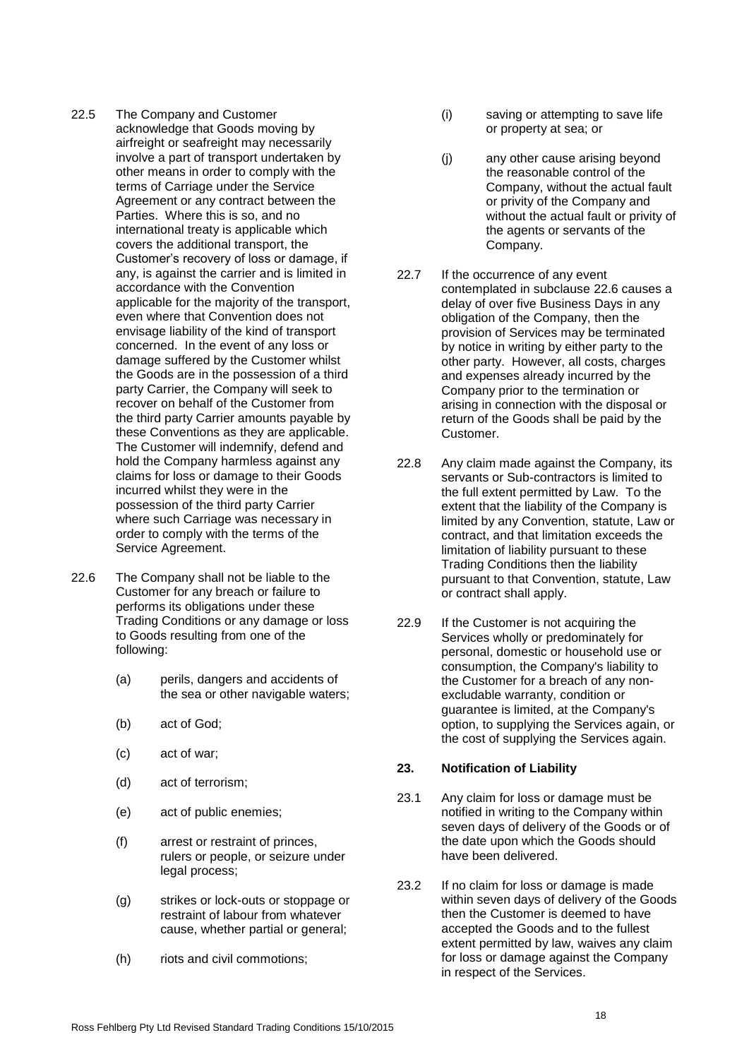- <span id="page-17-0"></span>22.5 The Company and Customer acknowledge that Goods moving by airfreight or seafreight may necessarily involve a part of transport undertaken by other means in order to comply with the terms of Carriage under the Service Agreement or any contract between the Parties. Where this is so, and no international treaty is applicable which covers the additional transport, the Customer's recovery of loss or damage, if any, is against the carrier and is limited in accordance with the Convention applicable for the majority of the transport, even where that Convention does not envisage liability of the kind of transport concerned. In the event of any loss or damage suffered by the Customer whilst the Goods are in the possession of a third party Carrier, the Company will seek to recover on behalf of the Customer from the third party Carrier amounts payable by these Conventions as they are applicable. The Customer will indemnify, defend and hold the Company harmless against any claims for loss or damage to their Goods incurred whilst they were in the possession of the third party Carrier where such Carriage was necessary in order to comply with the terms of the Service Agreement.
- <span id="page-17-1"></span>22.6 The Company shall not be liable to the Customer for any breach or failure to performs its obligations under these Trading Conditions or any damage or loss to Goods resulting from one of the following:
	- (a) perils, dangers and accidents of the sea or other navigable waters;
	- (b) act of God;
	- (c) act of war;
	- (d) act of terrorism;
	- (e) act of public enemies;
	- (f) arrest or restraint of princes, rulers or people, or seizure under legal process;
	- (g) strikes or lock-outs or stoppage or restraint of labour from whatever cause, whether partial or general;
	- (h) riots and civil commotions;
- (i) saving or attempting to save life or property at sea; or
- (j) any other cause arising beyond the reasonable control of the Company, without the actual fault or privity of the Company and without the actual fault or privity of the agents or servants of the Company.
- 22.7 If the occurrence of any event contemplated in subclause [22.6](#page-17-1) causes a delay of over five Business Days in any obligation of the Company, then the provision of Services may be terminated by notice in writing by either party to the other party. However, all costs, charges and expenses already incurred by the Company prior to the termination or arising in connection with the disposal or return of the Goods shall be paid by the Customer.
- 22.8 Any claim made against the Company, its servants or Sub-contractors is limited to the full extent permitted by Law. To the extent that the liability of the Company is limited by any Convention, statute, Law or contract, and that limitation exceeds the limitation of liability pursuant to these Trading Conditions then the liability pursuant to that Convention, statute, Law or contract shall apply.
- 22.9 If the Customer is not acquiring the Services wholly or predominately for personal, domestic or household use or consumption, the Company's liability to the Customer for a breach of any nonexcludable warranty, condition or guarantee is limited, at the Company's option, to supplying the Services again, or the cost of supplying the Services again.

# **23. Notification of Liability**

- 23.1 Any claim for loss or damage must be notified in writing to the Company within seven days of delivery of the Goods or of the date upon which the Goods should have been delivered.
- 23.2 If no claim for loss or damage is made within seven days of delivery of the Goods then the Customer is deemed to have accepted the Goods and to the fullest extent permitted by law, waives any claim for loss or damage against the Company in respect of the Services.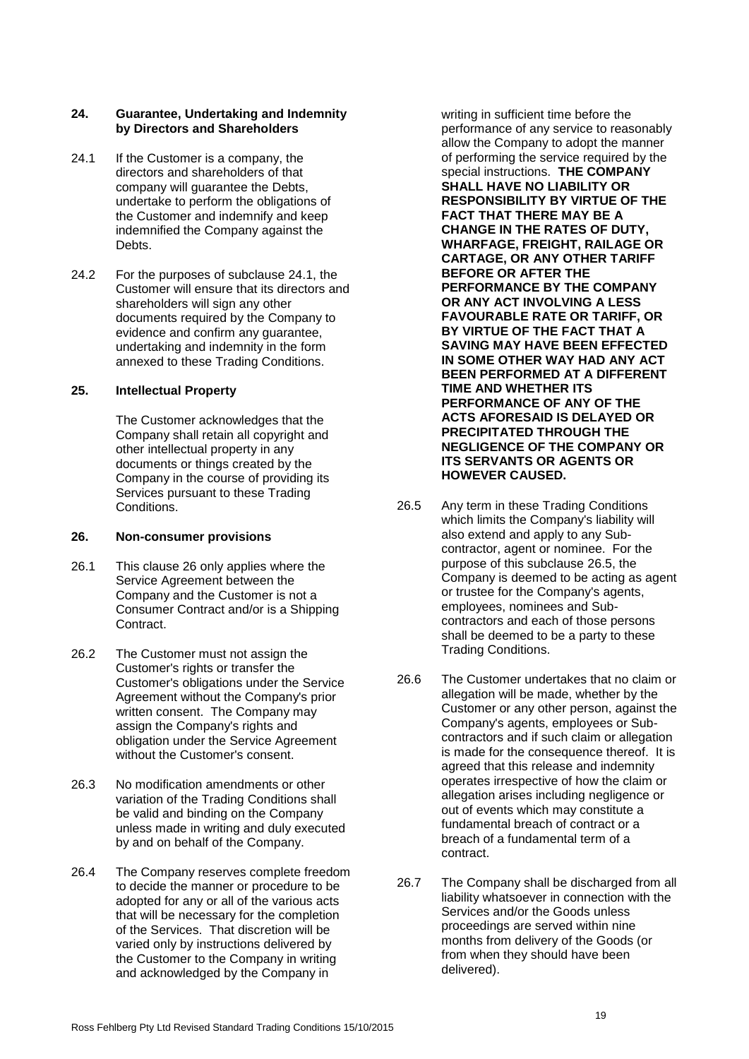- <span id="page-18-1"></span>24.1 If the Customer is a company, the directors and shareholders of that company will guarantee the Debts, undertake to perform the obligations of the Customer and indemnify and keep indemnified the Company against the **Debts**.
- 24.2 For the purposes of subclause [24.1,](#page-18-1) the Customer will ensure that its directors and shareholders will sign any other documents required by the Company to evidence and confirm any guarantee, undertaking and indemnity in the form annexed to these Trading Conditions.

# **25. Intellectual Property**

The Customer acknowledges that the Company shall retain all copyright and other intellectual property in any documents or things created by the Company in the course of providing its Services pursuant to these Trading Conditions.

# <span id="page-18-0"></span>**26. Non-consumer provisions**

- 26.1 This clause [26](#page-18-0) only applies where the Service Agreement between the Company and the Customer is not a Consumer Contract and/or is a Shipping Contract.
- 26.2 The Customer must not assign the Customer's rights or transfer the Customer's obligations under the Service Agreement without the Company's prior written consent. The Company may assign the Company's rights and obligation under the Service Agreement without the Customer's consent.
- 26.3 No modification amendments or other variation of the Trading Conditions shall be valid and binding on the Company unless made in writing and duly executed by and on behalf of the Company.
- 26.4 The Company reserves complete freedom to decide the manner or procedure to be adopted for any or all of the various acts that will be necessary for the completion of the Services. That discretion will be varied only by instructions delivered by the Customer to the Company in writing and acknowledged by the Company in

writing in sufficient time before the performance of any service to reasonably allow the Company to adopt the manner of performing the service required by the special instructions. **THE COMPANY SHALL HAVE NO LIABILITY OR RESPONSIBILITY BY VIRTUE OF THE FACT THAT THERE MAY BE A CHANGE IN THE RATES OF DUTY, WHARFAGE, FREIGHT, RAILAGE OR CARTAGE, OR ANY OTHER TARIFF BEFORE OR AFTER THE PERFORMANCE BY THE COMPANY OR ANY ACT INVOLVING A LESS FAVOURABLE RATE OR TARIFF, OR BY VIRTUE OF THE FACT THAT A SAVING MAY HAVE BEEN EFFECTED IN SOME OTHER WAY HAD ANY ACT BEEN PERFORMED AT A DIFFERENT TIME AND WHETHER ITS PERFORMANCE OF ANY OF THE ACTS AFORESAID IS DELAYED OR PRECIPITATED THROUGH THE NEGLIGENCE OF THE COMPANY OR ITS SERVANTS OR AGENTS OR HOWEVER CAUSED.**

- <span id="page-18-2"></span>26.5 Any term in these Trading Conditions which limits the Company's liability will also extend and apply to any Subcontractor, agent or nominee. For the purpose of this subclause [26.5,](#page-18-2) the Company is deemed to be acting as agent or trustee for the Company's agents, employees, nominees and Subcontractors and each of those persons shall be deemed to be a party to these Trading Conditions.
- 26.6 The Customer undertakes that no claim or allegation will be made, whether by the Customer or any other person, against the Company's agents, employees or Subcontractors and if such claim or allegation is made for the consequence thereof. It is agreed that this release and indemnity operates irrespective of how the claim or allegation arises including negligence or out of events which may constitute a fundamental breach of contract or a breach of a fundamental term of a contract.
- 26.7 The Company shall be discharged from all liability whatsoever in connection with the Services and/or the Goods unless proceedings are served within nine months from delivery of the Goods (or from when they should have been delivered).